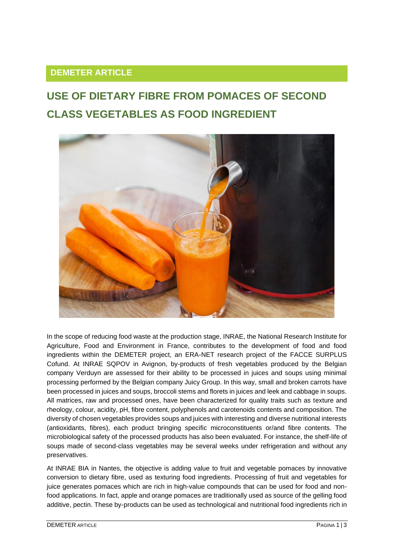## **DEMETER ARTICLE**

## **USE OF DIETARY FIBRE FROM POMACES OF SECOND CLASS VEGETABLES AS FOOD INGREDIENT**



In the scope of reducing food waste at the production stage, INRAE, the National Research Institute for Agriculture, Food and Environment in France, contributes to the development of food and food ingredients within the DEMETER project, an ERA-NET research project of the FACCE SURPLUS Cofund. At INRAE SQPOV in Avignon, by-products of fresh vegetables produced by the Belgian company Verduyn are assessed for their ability to be processed in juices and soups using minimal processing performed by the Belgian company Juicy Group. In this way, small and broken carrots have been processed in juices and soups, broccoli stems and florets in juices and leek and cabbage in soups. All matrices, raw and processed ones, have been characterized for quality traits such as texture and rheology, colour, acidity, pH, fibre content, polyphenols and carotenoids contents and composition. The diversity of chosen vegetables provides soups and juices with interesting and diverse nutritional interests (antioxidants, fibres), each product bringing specific microconstituents or/and fibre contents. The microbiological safety of the processed products has also been evaluated. For instance, the shelf-life of soups made of second-class vegetables may be several weeks under refrigeration and without any preservatives.

At INRAE BIA in Nantes, the objective is adding value to fruit and vegetable pomaces by innovative conversion to dietary fibre, used as texturing food ingredients. Processing of fruit and vegetables for juice generates pomaces which are rich in high-value compounds that can be used for food and nonfood applications. In fact, apple and orange pomaces are traditionally used as source of the gelling food additive, pectin. These by-products can be used as technological and nutritional food ingredients rich in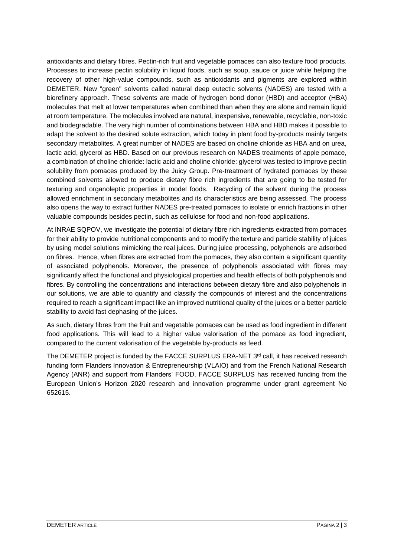antioxidants and dietary fibres. Pectin-rich fruit and vegetable pomaces can also texture food products. Processes to increase pectin solubility in liquid foods, such as soup, sauce or juice while helping the recovery of other high-value compounds, such as antioxidants and pigments are explored within DEMETER. New "green" solvents called natural deep eutectic solvents (NADES) are tested with a biorefinery approach. These solvents are made of hydrogen bond donor (HBD) and acceptor (HBA) molecules that melt at lower temperatures when combined than when they are alone and remain liquid at room temperature. The molecules involved are natural, inexpensive, renewable, recyclable, non-toxic and biodegradable. The very high number of combinations between HBA and HBD makes it possible to adapt the solvent to the desired solute extraction, which today in plant food by-products mainly targets secondary metabolites. A great number of NADES are based on choline chloride as HBA and on urea, lactic acid, glycerol as HBD. Based on our previous research on NADES treatments of apple pomace, a combination of choline chloride: lactic acid and choline chloride: glycerol was tested to improve pectin solubility from pomaces produced by the Juicy Group. Pre-treatment of hydrated pomaces by these combined solvents allowed to produce dietary fibre rich ingredients that are going to be tested for texturing and organoleptic properties in model foods. Recycling of the solvent during the process allowed enrichment in secondary metabolites and its characteristics are being assessed. The process also opens the way to extract further NADES pre-treated pomaces to isolate or enrich fractions in other valuable compounds besides pectin, such as cellulose for food and non-food applications.

At INRAE SQPOV, we investigate the potential of dietary fibre rich ingredients extracted from pomaces for their ability to provide nutritional components and to modify the texture and particle stability of juices by using model solutions mimicking the real juices. During juice processing, polyphenols are adsorbed on fibres. Hence, when fibres are extracted from the pomaces, they also contain a significant quantity of associated polyphenols. Moreover, the presence of polyphenols associated with fibres may significantly affect the functional and physiological properties and health effects of both polyphenols and fibres. By controlling the concentrations and interactions between dietary fibre and also polyphenols in our solutions, we are able to quantify and classify the compounds of interest and the concentrations required to reach a significant impact like an improved nutritional quality of the juices or a better particle stability to avoid fast dephasing of the juices.

As such, dietary fibres from the fruit and vegetable pomaces can be used as food ingredient in different food applications. This will lead to a higher value valorisation of the pomace as food ingredient, compared to the current valorisation of the vegetable by-products as feed.

The DEMETER project is funded by the FACCE SURPLUS ERA-NET 3<sup>rd</sup> call, it has received research funding form Flanders Innovation & Entrepreneurship (VLAIO) and from the French National Research Agency (ANR) and support from Flanders' FOOD. FACCE SURPLUS has received funding from the European Union's Horizon 2020 research and innovation programme under grant agreement No 652615.